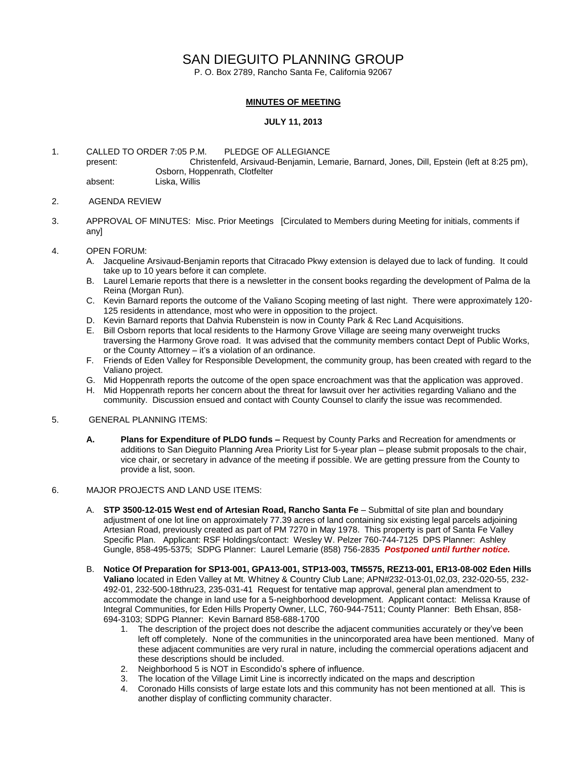# SAN DIEGUITO PLANNING GROUP

P. O. Box 2789, Rancho Santa Fe, California 92067

## **MINUTES OF MEETING**

### **JULY 11, 2013**

1. CALLED TO ORDER 7:05 P.M. PLEDGE OF ALLEGIANCE present: Christenfeld, Arsivaud-Benjamin, Lemarie, Barnard, Jones, Dill, Epstein (left at 8:25 pm), Osborn, Hoppenrath, Clotfelter absent: Liska, Willis

### 2. AGENDA REVIEW

3. APPROVAL OF MINUTES: Misc. Prior Meetings [Circulated to Members during Meeting for initials, comments if any]

#### 4. OPEN FORUM:

- A. Jacqueline Arsivaud-Benjamin reports that Citracado Pkwy extension is delayed due to lack of funding. It could take up to 10 years before it can complete.
- B. Laurel Lemarie reports that there is a newsletter in the consent books regarding the development of Palma de la Reina (Morgan Run).
- C. Kevin Barnard reports the outcome of the Valiano Scoping meeting of last night. There were approximately 120- 125 residents in attendance, most who were in opposition to the project.
- D. Kevin Barnard reports that Dahvia Rubenstein is now in County Park & Rec Land Acquisitions.
- E. Bill Osborn reports that local residents to the Harmony Grove Village are seeing many overweight trucks traversing the Harmony Grove road. It was advised that the community members contact Dept of Public Works, or the County Attorney – it's a violation of an ordinance.
- F. Friends of Eden Valley for Responsible Development, the community group, has been created with regard to the Valiano project.
- G. Mid Hoppenrath reports the outcome of the open space encroachment was that the application was approved.
- H. Mid Hoppenrath reports her concern about the threat for lawsuit over her activities regarding Valiano and the community. Discussion ensued and contact with County Counsel to clarify the issue was recommended.

#### 5. GENERAL PLANNING ITEMS:

**A. Plans for Expenditure of PLDO funds –** Request by County Parks and Recreation for amendments or additions to San Dieguito Planning Area Priority List for 5-year plan – please submit proposals to the chair, vice chair, or secretary in advance of the meeting if possible. We are getting pressure from the County to provide a list, soon.

#### 6. MAJOR PROJECTS AND LAND USE ITEMS:

- A. **STP 3500-12-015 West end of Artesian Road, Rancho Santa Fe** Submittal of site plan and boundary adjustment of one lot line on approximately 77.39 acres of land containing six existing legal parcels adjoining Artesian Road, previously created as part of PM 7270 in May 1978. This property is part of Santa Fe Valley Specific Plan.Applicant: RSF Holdings/contact: Wesley W. Pelzer 760-744-7125 DPS Planner: Ashley Gungle, 858-495-5375; SDPG Planner: Laurel Lemarie (858) 756-2835 *Postponed until further notice.*
- B. **Notice Of Preparation for SP13-001, GPA13-001, STP13-003, TM5575, REZ13-001, ER13-08-002 Eden Hills Valiano** located in Eden Valley at Mt. Whitney & Country Club Lane; APN#232-013-01,02,03, 232-020-55, 232- 492-01, 232-500-18thru23, 235-031-41 Request for tentative map approval, general plan amendment to accommodate the change in land use for a 5-neighborhood development. Applicant contact: Melissa Krause of Integral Communities, for Eden Hills Property Owner, LLC, 760-944-7511; County Planner: Beth Ehsan, 858- 694-3103; SDPG Planner: Kevin Barnard 858-688-1700
	- 1. The description of the project does not describe the adjacent communities accurately or they've been left off completely. None of the communities in the unincorporated area have been mentioned. Many of these adjacent communities are very rural in nature, including the commercial operations adjacent and these descriptions should be included.
	- 2. Neighborhood 5 is NOT in Escondido's sphere of influence.<br>3. The location of the Village Limit Line is incorrectly indicated
	- The location of the Village Limit Line is incorrectly indicated on the maps and description
	- 4. Coronado Hills consists of large estate lots and this community has not been mentioned at all. This is another display of conflicting community character.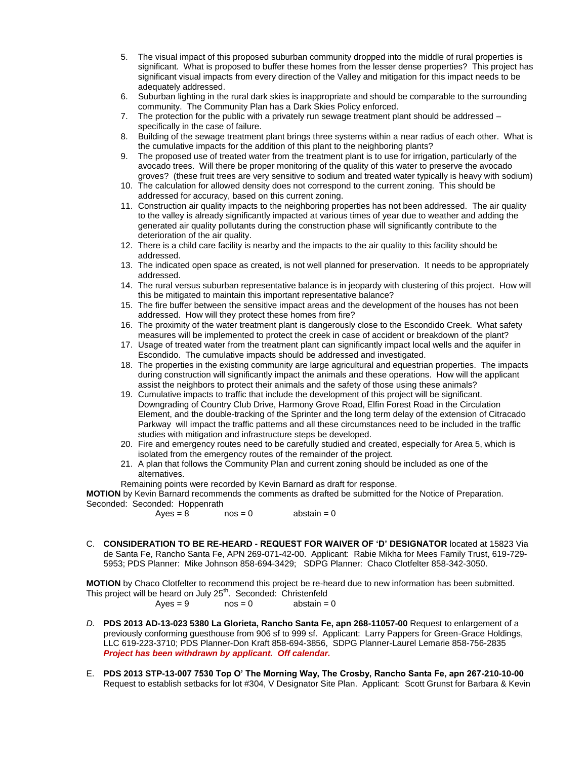- 5. The visual impact of this proposed suburban community dropped into the middle of rural properties is significant. What is proposed to buffer these homes from the lesser dense properties? This project has significant visual impacts from every direction of the Valley and mitigation for this impact needs to be adequately addressed.
- 6. Suburban lighting in the rural dark skies is inappropriate and should be comparable to the surrounding community. The Community Plan has a Dark Skies Policy enforced.
- 7. The protection for the public with a privately run sewage treatment plant should be addressed specifically in the case of failure.
- 8. Building of the sewage treatment plant brings three systems within a near radius of each other. What is the cumulative impacts for the addition of this plant to the neighboring plants?
- 9. The proposed use of treated water from the treatment plant is to use for irrigation, particularly of the avocado trees. Will there be proper monitoring of the quality of this water to preserve the avocado groves? (these fruit trees are very sensitive to sodium and treated water typically is heavy with sodium)
- 10. The calculation for allowed density does not correspond to the current zoning. This should be addressed for accuracy, based on this current zoning.
- 11. Construction air quality impacts to the neighboring properties has not been addressed. The air quality to the valley is already significantly impacted at various times of year due to weather and adding the generated air quality pollutants during the construction phase will significantly contribute to the deterioration of the air quality.
- 12. There is a child care facility is nearby and the impacts to the air quality to this facility should be addressed.
- 13. The indicated open space as created, is not well planned for preservation. It needs to be appropriately addressed.
- 14. The rural versus suburban representative balance is in jeopardy with clustering of this project. How will this be mitigated to maintain this important representative balance?
- 15. The fire buffer between the sensitive impact areas and the development of the houses has not been addressed. How will they protect these homes from fire?
- 16. The proximity of the water treatment plant is dangerously close to the Escondido Creek. What safety measures will be implemented to protect the creek in case of accident or breakdown of the plant?
- 17. Usage of treated water from the treatment plant can significantly impact local wells and the aquifer in Escondido. The cumulative impacts should be addressed and investigated.
- 18. The properties in the existing community are large agricultural and equestrian properties. The impacts during construction will significantly impact the animals and these operations. How will the applicant assist the neighbors to protect their animals and the safety of those using these animals?
- 19. Cumulative impacts to traffic that include the development of this project will be significant. Downgrading of Country Club Drive, Harmony Grove Road, Elfin Forest Road in the Circulation Element, and the double-tracking of the Sprinter and the long term delay of the extension of Citracado Parkway will impact the traffic patterns and all these circumstances need to be included in the traffic studies with mitigation and infrastructure steps be developed.
- 20. Fire and emergency routes need to be carefully studied and created, especially for Area 5, which is isolated from the emergency routes of the remainder of the project.
- 21. A plan that follows the Community Plan and current zoning should be included as one of the alternatives.
- Remaining points were recorded by Kevin Barnard as draft for response.

**MOTION** by Kevin Barnard recommends the comments as drafted be submitted for the Notice of Preparation. Seconded: Seconded: Hoppenrath

 $Aves = 8$  nos = 0 abstain = 0

C. **CONSIDERATION TO BE RE-HEARD - REQUEST FOR WAIVER OF 'D' DESIGNATOR** located at 15823 Via de Santa Fe, Rancho Santa Fe, APN 269-071-42-00. Applicant: Rabie Mikha for Mees Family Trust, 619-729- 5953; PDS Planner: Mike Johnson 858-694-3429; SDPG Planner: Chaco Clotfelter 858-342-3050.

**MOTION** by Chaco Clotfelter to recommend this project be re-heard due to new information has been submitted. This project will be heard on July 25<sup>th</sup>. Seconded: Christenfeld

$$
Ayes = 9 \qquad \qquad nos = 0 \qquad \qquad abstain = 0
$$

- *D.* **PDS 2013 AD-13-023 5380 La Glorieta, Rancho Santa Fe, apn 268-11057-00** Request to enlargement of a previously conforming guesthouse from 906 sf to 999 sf. Applicant: Larry Pappers for Green-Grace Holdings, LLC 619-223-3710; PDS Planner-Don Kraft 858-694-3856, SDPG Planner-Laurel Lemarie 858-756-2835 *Project has been withdrawn by applicant. Off calendar.*
- E. **PDS 2013 STP-13-007 7530 Top O' The Morning Way, The Crosby, Rancho Santa Fe, apn 267-210-10-00** Request to establish setbacks for lot #304, V Designator Site Plan. Applicant: Scott Grunst for Barbara & Kevin